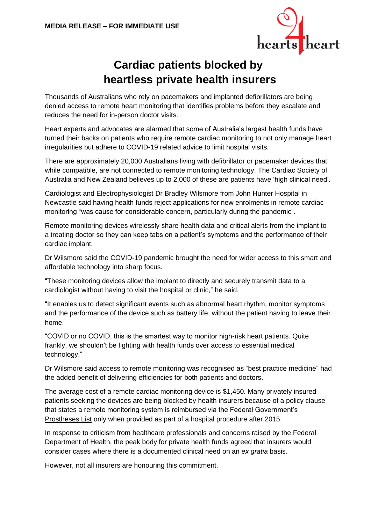

## **Cardiac patients blocked by heartless private health insurers**

Thousands of Australians who rely on pacemakers and implanted defibrillators are being denied access to remote heart monitoring that identifies problems before they escalate and reduces the need for in-person doctor visits.

Heart experts and advocates are alarmed that some of Australia's largest health funds have turned their backs on patients who require remote cardiac monitoring to not only manage heart irregularities but adhere to COVID-19 related advice to limit hospital visits.

There are approximately 20,000 Australians living with defibrillator or pacemaker devices that while compatible, are not connected to remote monitoring technology. The Cardiac Society of Australia and New Zealand believes up to 2,000 of these are patients have 'high clinical need'.

Cardiologist and Electrophysiologist Dr Bradley Wilsmore from John Hunter Hospital in Newcastle said having health funds reject applications for new enrolments in remote cardiac monitoring "was cause for considerable concern, particularly during the pandemic".

Remote monitoring devices wirelessly share health data and critical alerts from the implant to a treating doctor so they can keep tabs on a patient's symptoms and the performance of their cardiac implant.

Dr Wilsmore said the COVID-19 pandemic brought the need for wider access to this smart and affordable technology into sharp focus.

"These monitoring devices allow the implant to directly and securely transmit data to a cardiologist without having to visit the hospital or clinic," he said.

"It enables us to detect significant events such as abnormal heart rhythm, monitor symptoms and the performance of the device such as battery life, without the patient having to leave their home.

"COVID or no COVID, this is the smartest way to monitor high-risk heart patients. Quite frankly, we shouldn't be fighting with health funds over access to essential medical technology."

Dr Wilsmore said access to remote monitoring was recognised as "best practice medicine" had the added benefit of delivering efficiencies for both patients and doctors.

The average cost of a remote cardiac monitoring device is \$1,450. Many privately insured patients seeking the devices are being blocked by health insurers because of a policy clause that states a remote monitoring system is reimbursed via the Federal Government's [Prostheses List](http://www.health.gov.au/internet/main/publishing.nsf/Content/health-privatehealth-prostheseslist.htm) only when provided as part of a hospital procedure after 2015.

In response to criticism from healthcare professionals and concerns raised by the Federal Department of Health, the peak body for private health funds agreed that insurers would consider cases where there is a documented clinical need on an *ex gratia* basis.

However, not all insurers are honouring this commitment.